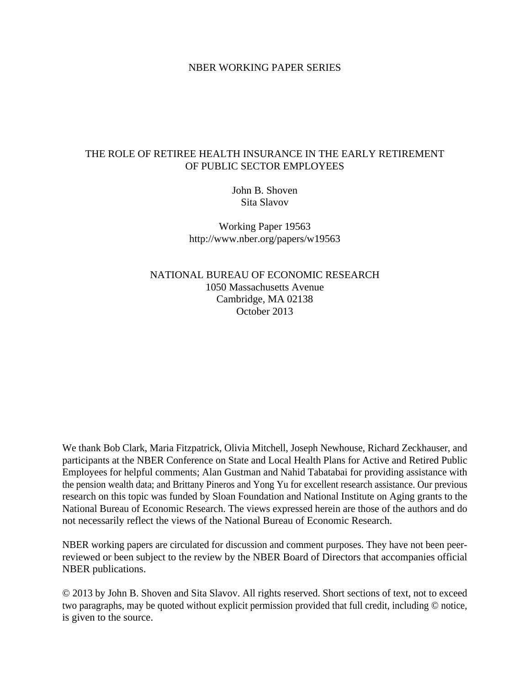### NBER WORKING PAPER SERIES

# THE ROLE OF RETIREE HEALTH INSURANCE IN THE EARLY RETIREMENT OF PUBLIC SECTOR EMPLOYEES

John B. Shoven Sita Slavov

Working Paper 19563 http://www.nber.org/papers/w19563

NATIONAL BUREAU OF ECONOMIC RESEARCH 1050 Massachusetts Avenue Cambridge, MA 02138 October 2013

We thank Bob Clark, Maria Fitzpatrick, Olivia Mitchell, Joseph Newhouse, Richard Zeckhauser, and participants at the NBER Conference on State and Local Health Plans for Active and Retired Public Employees for helpful comments; Alan Gustman and Nahid Tabatabai for providing assistance with the pension wealth data; and Brittany Pineros and Yong Yu for excellent research assistance. Our previous research on this topic was funded by Sloan Foundation and National Institute on Aging grants to the National Bureau of Economic Research. The views expressed herein are those of the authors and do not necessarily reflect the views of the National Bureau of Economic Research.

NBER working papers are circulated for discussion and comment purposes. They have not been peerreviewed or been subject to the review by the NBER Board of Directors that accompanies official NBER publications.

© 2013 by John B. Shoven and Sita Slavov. All rights reserved. Short sections of text, not to exceed two paragraphs, may be quoted without explicit permission provided that full credit, including © notice, is given to the source.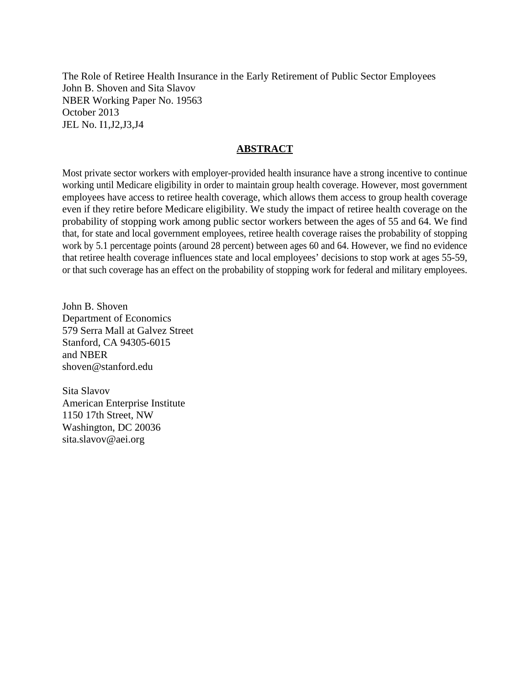The Role of Retiree Health Insurance in the Early Retirement of Public Sector Employees John B. Shoven and Sita Slavov NBER Working Paper No. 19563 October 2013 JEL No. I1,J2,J3,J4

# **ABSTRACT**

Most private sector workers with employer-provided health insurance have a strong incentive to continue working until Medicare eligibility in order to maintain group health coverage. However, most government employees have access to retiree health coverage, which allows them access to group health coverage even if they retire before Medicare eligibility. We study the impact of retiree health coverage on the probability of stopping work among public sector workers between the ages of 55 and 64. We find that, for state and local government employees, retiree health coverage raises the probability of stopping work by 5.1 percentage points (around 28 percent) between ages 60 and 64. However, we find no evidence that retiree health coverage influences state and local employees' decisions to stop work at ages 55-59, or that such coverage has an effect on the probability of stopping work for federal and military employees.

John B. Shoven Department of Economics 579 Serra Mall at Galvez Street Stanford, CA 94305-6015 and NBER shoven@stanford.edu

Sita Slavov American Enterprise Institute 1150 17th Street, NW Washington, DC 20036 sita.slavov@aei.org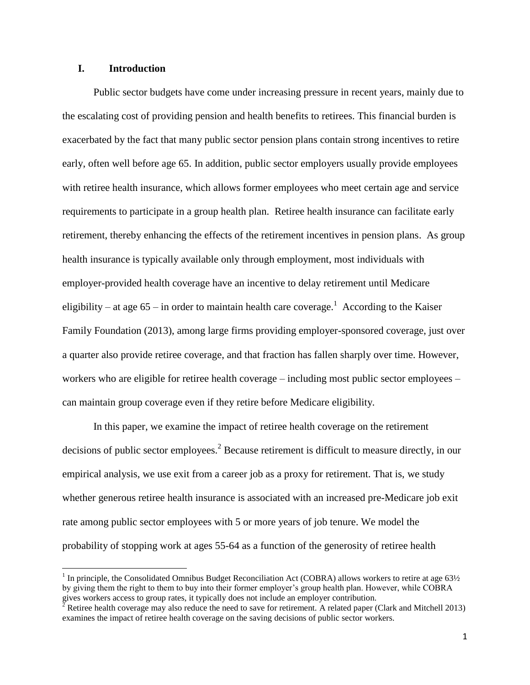# **I. Introduction**

 $\overline{a}$ 

Public sector budgets have come under increasing pressure in recent years, mainly due to the escalating cost of providing pension and health benefits to retirees. This financial burden is exacerbated by the fact that many public sector pension plans contain strong incentives to retire early, often well before age 65. In addition, public sector employers usually provide employees with retiree health insurance, which allows former employees who meet certain age and service requirements to participate in a group health plan. Retiree health insurance can facilitate early retirement, thereby enhancing the effects of the retirement incentives in pension plans. As group health insurance is typically available only through employment, most individuals with employer-provided health coverage have an incentive to delay retirement until Medicare eligibility – at age  $65$  – in order to maintain health care coverage.<sup>1</sup> According to the Kaiser Family Foundation (2013), among large firms providing employer-sponsored coverage, just over a quarter also provide retiree coverage, and that fraction has fallen sharply over time. However, workers who are eligible for retiree health coverage – including most public sector employees – can maintain group coverage even if they retire before Medicare eligibility.

In this paper, we examine the impact of retiree health coverage on the retirement decisions of public sector employees.<sup>2</sup> Because retirement is difficult to measure directly, in our empirical analysis, we use exit from a career job as a proxy for retirement. That is, we study whether generous retiree health insurance is associated with an increased pre-Medicare job exit rate among public sector employees with 5 or more years of job tenure. We model the probability of stopping work at ages 55-64 as a function of the generosity of retiree health

<sup>&</sup>lt;sup>1</sup> In principle, the Consolidated Omnibus Budget Reconciliation Act (COBRA) allows workers to retire at age  $63\frac{1}{2}$ by giving them the right to them to buy into their former employer's group health plan. However, while COBRA gives workers access to group rates, it typically does not include an employer contribution.

 $^2$  Retiree health coverage may also reduce the need to save for retirement. A related paper (Clark and Mitchell 2013) examines the impact of retiree health coverage on the saving decisions of public sector workers.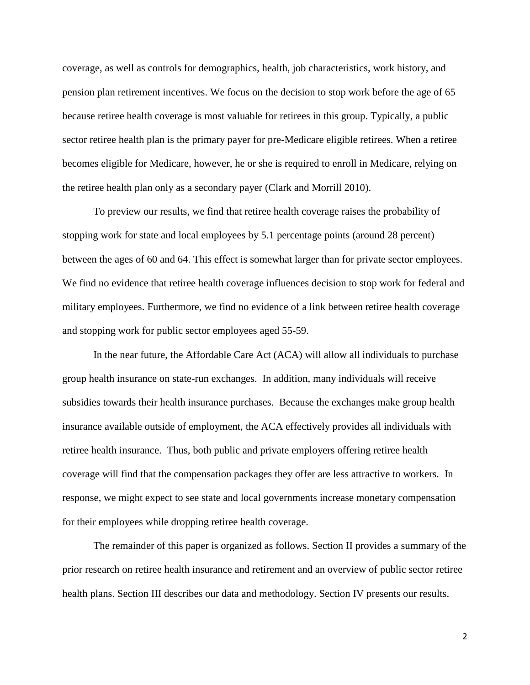coverage, as well as controls for demographics, health, job characteristics, work history, and pension plan retirement incentives. We focus on the decision to stop work before the age of 65 because retiree health coverage is most valuable for retirees in this group. Typically, a public sector retiree health plan is the primary payer for pre-Medicare eligible retirees. When a retiree becomes eligible for Medicare, however, he or she is required to enroll in Medicare, relying on the retiree health plan only as a secondary payer (Clark and Morrill 2010).

To preview our results, we find that retiree health coverage raises the probability of stopping work for state and local employees by 5.1 percentage points (around 28 percent) between the ages of 60 and 64. This effect is somewhat larger than for private sector employees. We find no evidence that retiree health coverage influences decision to stop work for federal and military employees. Furthermore, we find no evidence of a link between retiree health coverage and stopping work for public sector employees aged 55-59.

In the near future, the Affordable Care Act (ACA) will allow all individuals to purchase group health insurance on state-run exchanges. In addition, many individuals will receive subsidies towards their health insurance purchases. Because the exchanges make group health insurance available outside of employment, the ACA effectively provides all individuals with retiree health insurance. Thus, both public and private employers offering retiree health coverage will find that the compensation packages they offer are less attractive to workers. In response, we might expect to see state and local governments increase monetary compensation for their employees while dropping retiree health coverage.

The remainder of this paper is organized as follows. Section II provides a summary of the prior research on retiree health insurance and retirement and an overview of public sector retiree health plans. Section III describes our data and methodology. Section IV presents our results.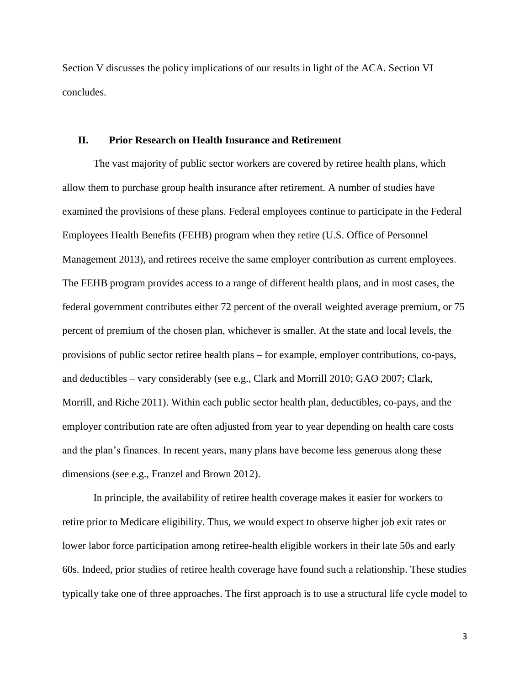Section V discusses the policy implications of our results in light of the ACA. Section VI concludes.

### **II. Prior Research on Health Insurance and Retirement**

The vast majority of public sector workers are covered by retiree health plans, which allow them to purchase group health insurance after retirement. A number of studies have examined the provisions of these plans. Federal employees continue to participate in the Federal Employees Health Benefits (FEHB) program when they retire (U.S. Office of Personnel Management 2013), and retirees receive the same employer contribution as current employees. The FEHB program provides access to a range of different health plans, and in most cases, the federal government contributes either 72 percent of the overall weighted average premium, or 75 percent of premium of the chosen plan, whichever is smaller. At the state and local levels, the provisions of public sector retiree health plans – for example, employer contributions, co-pays, and deductibles – vary considerably (see e.g., Clark and Morrill 2010; GAO 2007; Clark, Morrill, and Riche 2011). Within each public sector health plan, deductibles, co-pays, and the employer contribution rate are often adjusted from year to year depending on health care costs and the plan's finances. In recent years, many plans have become less generous along these dimensions (see e.g., Franzel and Brown 2012).

In principle, the availability of retiree health coverage makes it easier for workers to retire prior to Medicare eligibility. Thus, we would expect to observe higher job exit rates or lower labor force participation among retiree-health eligible workers in their late 50s and early 60s. Indeed, prior studies of retiree health coverage have found such a relationship. These studies typically take one of three approaches. The first approach is to use a structural life cycle model to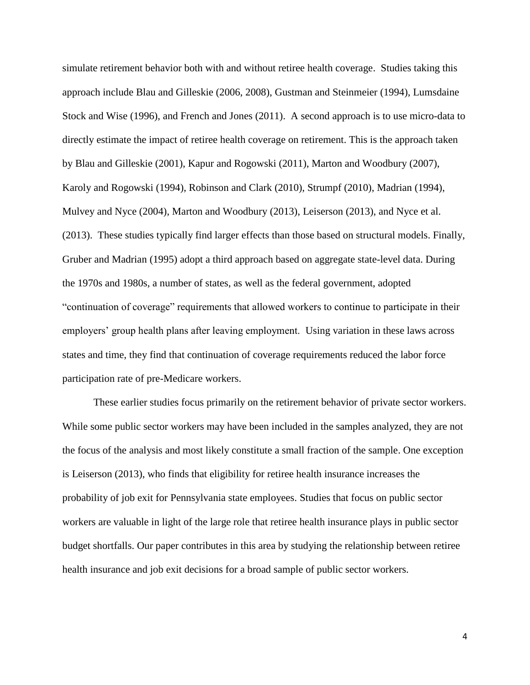simulate retirement behavior both with and without retiree health coverage. Studies taking this approach include Blau and Gilleskie (2006, 2008), Gustman and Steinmeier (1994), Lumsdaine Stock and Wise (1996), and French and Jones (2011). A second approach is to use micro-data to directly estimate the impact of retiree health coverage on retirement. This is the approach taken by Blau and Gilleskie (2001), Kapur and Rogowski (2011), Marton and Woodbury (2007), Karoly and Rogowski (1994), Robinson and Clark (2010), Strumpf (2010), Madrian (1994), Mulvey and Nyce (2004), Marton and Woodbury (2013), Leiserson (2013), and Nyce et al. (2013). These studies typically find larger effects than those based on structural models. Finally, Gruber and Madrian (1995) adopt a third approach based on aggregate state-level data. During the 1970s and 1980s, a number of states, as well as the federal government, adopted "continuation of coverage" requirements that allowed workers to continue to participate in their employers' group health plans after leaving employment. Using variation in these laws across states and time, they find that continuation of coverage requirements reduced the labor force participation rate of pre-Medicare workers.

These earlier studies focus primarily on the retirement behavior of private sector workers. While some public sector workers may have been included in the samples analyzed, they are not the focus of the analysis and most likely constitute a small fraction of the sample. One exception is Leiserson (2013), who finds that eligibility for retiree health insurance increases the probability of job exit for Pennsylvania state employees. Studies that focus on public sector workers are valuable in light of the large role that retiree health insurance plays in public sector budget shortfalls. Our paper contributes in this area by studying the relationship between retiree health insurance and job exit decisions for a broad sample of public sector workers.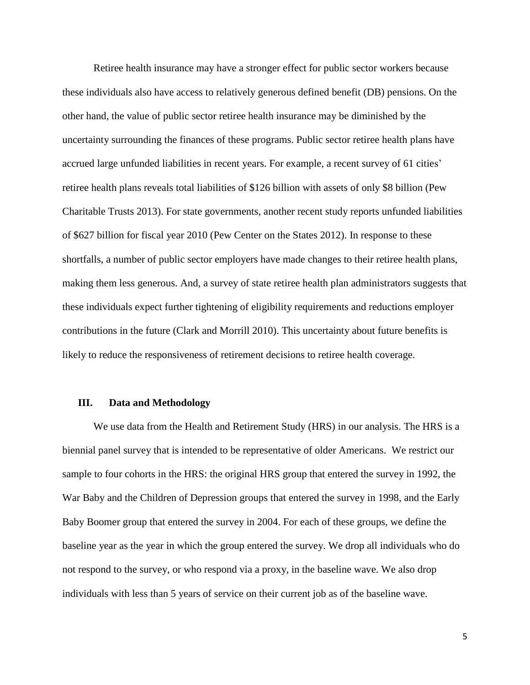Retiree health insurance may have a stronger effect for public sector workers because these individuals also have access to relatively generous defined benefit (DB) pensions. On the other hand, the value of public sector retiree health insurance may be diminished by the uncertainty surrounding the finances of these programs. Public sector retiree health plans have accrued large unfunded liabilities in recent years. For example, a recent survey of 61 cities' retiree health plans reveals total liabilities of \$126 billion with assets of only \$8 billion (Pew Charitable Trusts 2013). For state governments, another recent study reports unfunded liabilities of \$627 billion for fiscal year 2010 (Pew Center on the States 2012). In response to these shortfalls, a number of public sector employers have made changes to their retiree health plans, making them less generous. And, a survey of state retiree health plan administrators suggests that these individuals expect further tightening of eligibility requirements and reductions employer contributions in the future (Clark and Morrill 2010). This uncertainty about future benefits is likely to reduce the responsiveness of retirement decisions to retiree health coverage.

#### **III. Data and Methodology**

We use data from the Health and Retirement Study (HRS) in our analysis. The HRS is a biennial panel survey that is intended to be representative of older Americans. We restrict our sample to four cohorts in the HRS: the original HRS group that entered the survey in 1992, the War Baby and the Children of Depression groups that entered the survey in 1998, and the Early Baby Boomer group that entered the survey in 2004. For each of these groups, we define the baseline year as the year in which the group entered the survey. We drop all individuals who do not respond to the survey, or who respond via a proxy, in the baseline wave. We also drop individuals with less than 5 years of service on their current job as of the baseline wave.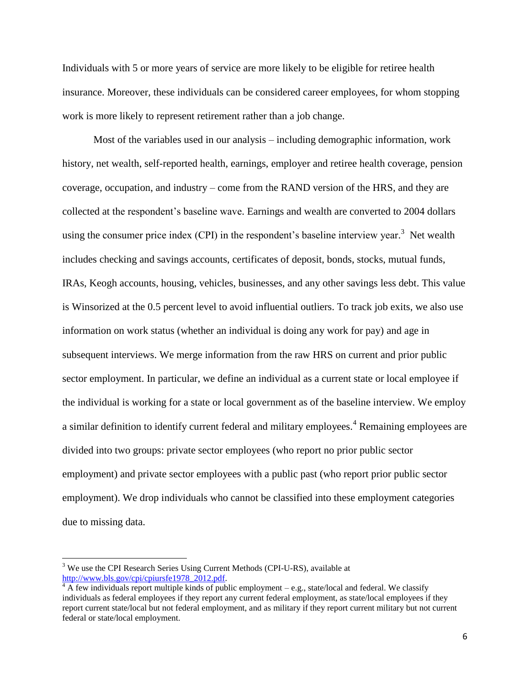Individuals with 5 or more years of service are more likely to be eligible for retiree health insurance. Moreover, these individuals can be considered career employees, for whom stopping work is more likely to represent retirement rather than a job change.

Most of the variables used in our analysis – including demographic information, work history, net wealth, self-reported health, earnings, employer and retiree health coverage, pension coverage, occupation, and industry – come from the RAND version of the HRS, and they are collected at the respondent's baseline wave. Earnings and wealth are converted to 2004 dollars using the consumer price index (CPI) in the respondent's baseline interview year.<sup>3</sup> Net wealth includes checking and savings accounts, certificates of deposit, bonds, stocks, mutual funds, IRAs, Keogh accounts, housing, vehicles, businesses, and any other savings less debt. This value is Winsorized at the 0.5 percent level to avoid influential outliers. To track job exits, we also use information on work status (whether an individual is doing any work for pay) and age in subsequent interviews. We merge information from the raw HRS on current and prior public sector employment. In particular, we define an individual as a current state or local employee if the individual is working for a state or local government as of the baseline interview. We employ a similar definition to identify current federal and military employees.<sup>4</sup> Remaining employees are divided into two groups: private sector employees (who report no prior public sector employment) and private sector employees with a public past (who report prior public sector employment). We drop individuals who cannot be classified into these employment categories due to missing data.

l

<sup>&</sup>lt;sup>3</sup> We use the CPI Research Series Using Current Methods (CPI-U-RS), available at [http://www.bls.gov/cpi/cpiursfe1978\\_2012.pdf.](http://www.bls.gov/cpi/cpiursfe1978_2012.pdf)

 $4$  A few individuals report multiple kinds of public employment – e.g., state/local and federal. We classify individuals as federal employees if they report any current federal employment, as state/local employees if they report current state/local but not federal employment, and as military if they report current military but not current federal or state/local employment.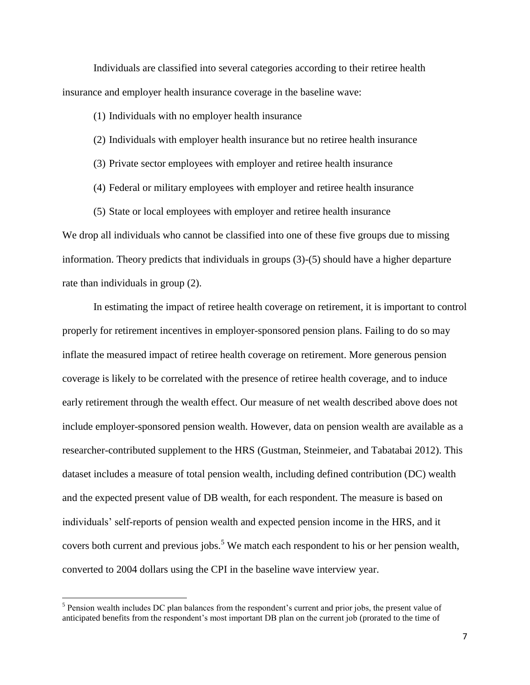Individuals are classified into several categories according to their retiree health insurance and employer health insurance coverage in the baseline wave:

(1) Individuals with no employer health insurance

- (2) Individuals with employer health insurance but no retiree health insurance
- (3) Private sector employees with employer and retiree health insurance
- (4) Federal or military employees with employer and retiree health insurance

(5) State or local employees with employer and retiree health insurance We drop all individuals who cannot be classified into one of these five groups due to missing information. Theory predicts that individuals in groups (3)-(5) should have a higher departure rate than individuals in group (2).

In estimating the impact of retiree health coverage on retirement, it is important to control properly for retirement incentives in employer-sponsored pension plans. Failing to do so may inflate the measured impact of retiree health coverage on retirement. More generous pension coverage is likely to be correlated with the presence of retiree health coverage, and to induce early retirement through the wealth effect. Our measure of net wealth described above does not include employer-sponsored pension wealth. However, data on pension wealth are available as a researcher-contributed supplement to the HRS (Gustman, Steinmeier, and Tabatabai 2012). This dataset includes a measure of total pension wealth, including defined contribution (DC) wealth and the expected present value of DB wealth, for each respondent. The measure is based on individuals' self-reports of pension wealth and expected pension income in the HRS, and it covers both current and previous jobs.<sup>5</sup> We match each respondent to his or her pension wealth, converted to 2004 dollars using the CPI in the baseline wave interview year.

<sup>&</sup>lt;sup>5</sup> Pension wealth includes DC plan balances from the respondent's current and prior jobs, the present value of anticipated benefits from the respondent's most important DB plan on the current job (prorated to the time of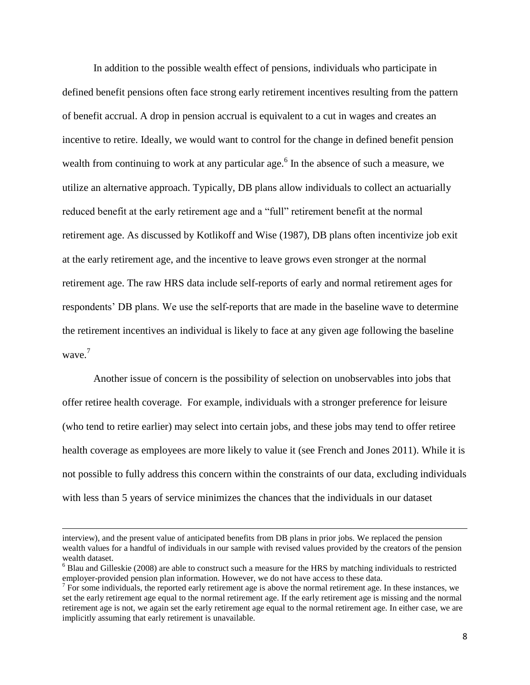In addition to the possible wealth effect of pensions, individuals who participate in defined benefit pensions often face strong early retirement incentives resulting from the pattern of benefit accrual. A drop in pension accrual is equivalent to a cut in wages and creates an incentive to retire. Ideally, we would want to control for the change in defined benefit pension wealth from continuing to work at any particular age.<sup>6</sup> In the absence of such a measure, we utilize an alternative approach. Typically, DB plans allow individuals to collect an actuarially reduced benefit at the early retirement age and a "full" retirement benefit at the normal retirement age. As discussed by Kotlikoff and Wise (1987), DB plans often incentivize job exit at the early retirement age, and the incentive to leave grows even stronger at the normal retirement age. The raw HRS data include self-reports of early and normal retirement ages for respondents' DB plans. We use the self-reports that are made in the baseline wave to determine the retirement incentives an individual is likely to face at any given age following the baseline wave.<sup>7</sup>

Another issue of concern is the possibility of selection on unobservables into jobs that offer retiree health coverage. For example, individuals with a stronger preference for leisure (who tend to retire earlier) may select into certain jobs, and these jobs may tend to offer retiree health coverage as employees are more likely to value it (see French and Jones 2011). While it is not possible to fully address this concern within the constraints of our data, excluding individuals with less than 5 years of service minimizes the chances that the individuals in our dataset

interview), and the present value of anticipated benefits from DB plans in prior jobs. We replaced the pension wealth values for a handful of individuals in our sample with revised values provided by the creators of the pension wealth dataset.

<sup>6</sup> Blau and Gilleskie (2008) are able to construct such a measure for the HRS by matching individuals to restricted employer-provided pension plan information. However, we do not have access to these data.

 $7$  For some individuals, the reported early retirement age is above the normal retirement age. In these instances, we set the early retirement age equal to the normal retirement age. If the early retirement age is missing and the normal retirement age is not, we again set the early retirement age equal to the normal retirement age. In either case, we are implicitly assuming that early retirement is unavailable.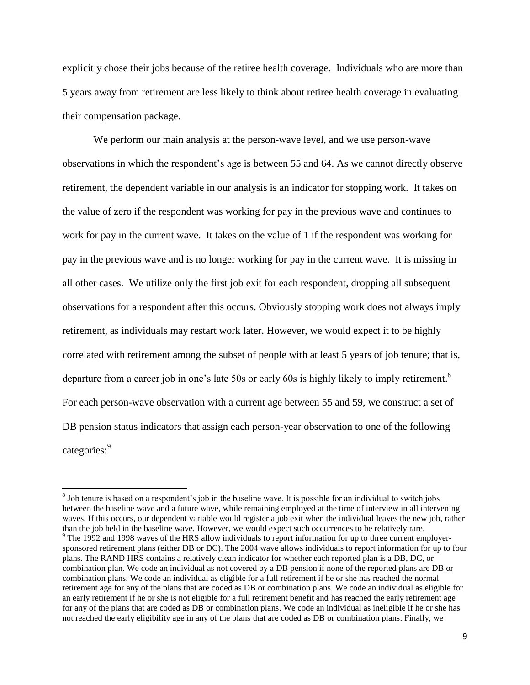explicitly chose their jobs because of the retiree health coverage. Individuals who are more than 5 years away from retirement are less likely to think about retiree health coverage in evaluating their compensation package.

We perform our main analysis at the person-wave level, and we use person-wave observations in which the respondent's age is between 55 and 64. As we cannot directly observe retirement, the dependent variable in our analysis is an indicator for stopping work. It takes on the value of zero if the respondent was working for pay in the previous wave and continues to work for pay in the current wave. It takes on the value of 1 if the respondent was working for pay in the previous wave and is no longer working for pay in the current wave. It is missing in all other cases. We utilize only the first job exit for each respondent, dropping all subsequent observations for a respondent after this occurs. Obviously stopping work does not always imply retirement, as individuals may restart work later. However, we would expect it to be highly correlated with retirement among the subset of people with at least 5 years of job tenure; that is, departure from a career job in one's late 50s or early 60s is highly likely to imply retirement.<sup>8</sup> For each person-wave observation with a current age between 55 and 59, we construct a set of DB pension status indicators that assign each person-year observation to one of the following categories:<sup>9</sup>

<sup>&</sup>lt;sup>8</sup> Job tenure is based on a respondent's job in the baseline wave. It is possible for an individual to switch jobs between the baseline wave and a future wave, while remaining employed at the time of interview in all intervening waves. If this occurs, our dependent variable would register a job exit when the individual leaves the new job, rather than the job held in the baseline wave. However, we would expect such occurrences to be relatively rare. <sup>9</sup> The 1992 and 1998 waves of the HRS allow individuals to report information for up to three current employersponsored retirement plans (either DB or DC). The 2004 wave allows individuals to report information for up to four plans. The RAND HRS contains a relatively clean indicator for whether each reported plan is a DB, DC, or combination plan. We code an individual as not covered by a DB pension if none of the reported plans are DB or combination plans. We code an individual as eligible for a full retirement if he or she has reached the normal retirement age for any of the plans that are coded as DB or combination plans. We code an individual as eligible for an early retirement if he or she is not eligible for a full retirement benefit and has reached the early retirement age for any of the plans that are coded as DB or combination plans. We code an individual as ineligible if he or she has not reached the early eligibility age in any of the plans that are coded as DB or combination plans. Finally, we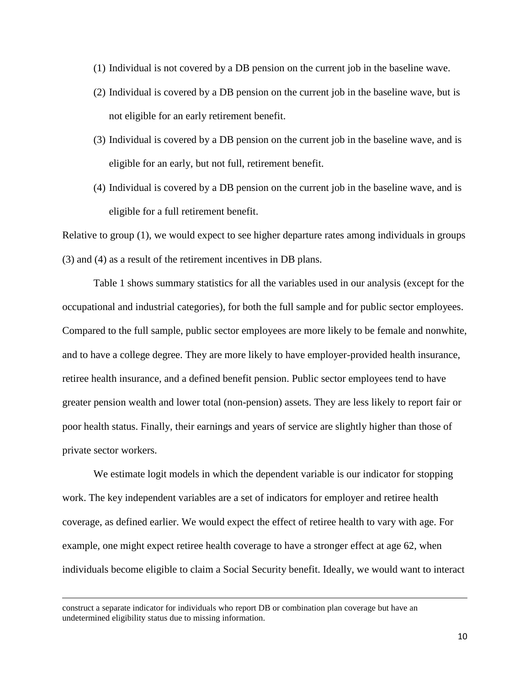- (1) Individual is not covered by a DB pension on the current job in the baseline wave.
- (2) Individual is covered by a DB pension on the current job in the baseline wave, but is not eligible for an early retirement benefit.
- (3) Individual is covered by a DB pension on the current job in the baseline wave, and is eligible for an early, but not full, retirement benefit.
- (4) Individual is covered by a DB pension on the current job in the baseline wave, and is eligible for a full retirement benefit.

Relative to group (1), we would expect to see higher departure rates among individuals in groups (3) and (4) as a result of the retirement incentives in DB plans.

Table 1 shows summary statistics for all the variables used in our analysis (except for the occupational and industrial categories), for both the full sample and for public sector employees. Compared to the full sample, public sector employees are more likely to be female and nonwhite, and to have a college degree. They are more likely to have employer-provided health insurance, retiree health insurance, and a defined benefit pension. Public sector employees tend to have greater pension wealth and lower total (non-pension) assets. They are less likely to report fair or poor health status. Finally, their earnings and years of service are slightly higher than those of private sector workers.

We estimate logit models in which the dependent variable is our indicator for stopping work. The key independent variables are a set of indicators for employer and retiree health coverage, as defined earlier. We would expect the effect of retiree health to vary with age. For example, one might expect retiree health coverage to have a stronger effect at age 62, when individuals become eligible to claim a Social Security benefit. Ideally, we would want to interact

construct a separate indicator for individuals who report DB or combination plan coverage but have an undetermined eligibility status due to missing information.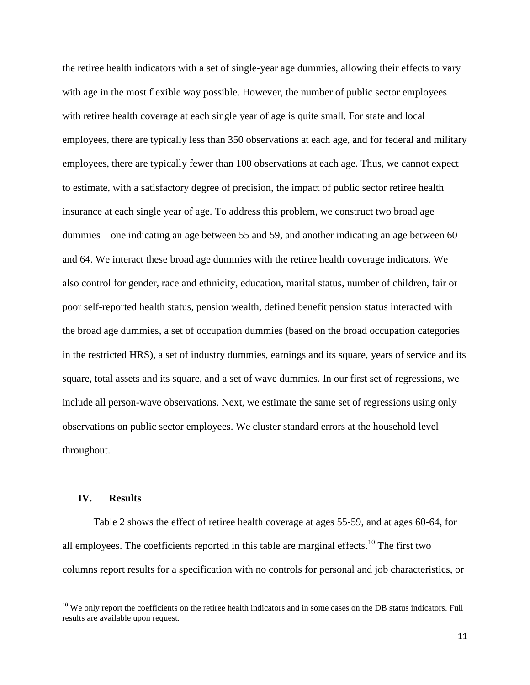the retiree health indicators with a set of single-year age dummies, allowing their effects to vary with age in the most flexible way possible. However, the number of public sector employees with retiree health coverage at each single year of age is quite small. For state and local employees, there are typically less than 350 observations at each age, and for federal and military employees, there are typically fewer than 100 observations at each age. Thus, we cannot expect to estimate, with a satisfactory degree of precision, the impact of public sector retiree health insurance at each single year of age. To address this problem, we construct two broad age dummies – one indicating an age between 55 and 59, and another indicating an age between 60 and 64. We interact these broad age dummies with the retiree health coverage indicators. We also control for gender, race and ethnicity, education, marital status, number of children, fair or poor self-reported health status, pension wealth, defined benefit pension status interacted with the broad age dummies, a set of occupation dummies (based on the broad occupation categories in the restricted HRS), a set of industry dummies, earnings and its square, years of service and its square, total assets and its square, and a set of wave dummies. In our first set of regressions, we include all person-wave observations. Next, we estimate the same set of regressions using only observations on public sector employees. We cluster standard errors at the household level throughout.

### **IV. Results**

 $\overline{\phantom{a}}$ 

Table 2 shows the effect of retiree health coverage at ages 55-59, and at ages 60-64, for all employees. The coefficients reported in this table are marginal effects.<sup>10</sup> The first two columns report results for a specification with no controls for personal and job characteristics, or

 $10$  We only report the coefficients on the retiree health indicators and in some cases on the DB status indicators. Full results are available upon request.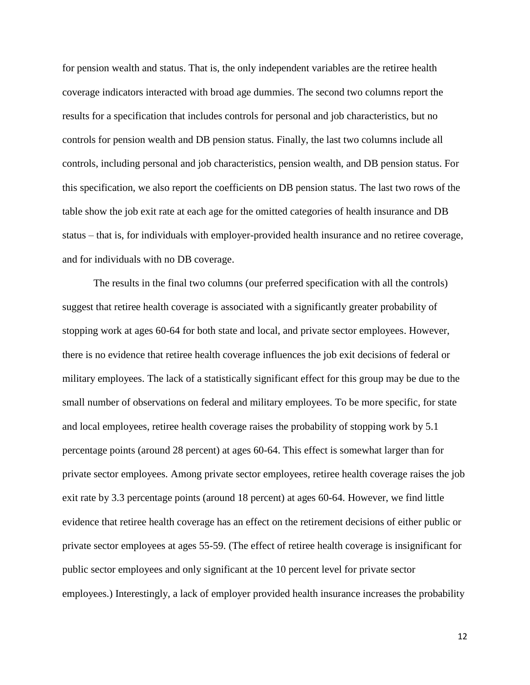for pension wealth and status. That is, the only independent variables are the retiree health coverage indicators interacted with broad age dummies. The second two columns report the results for a specification that includes controls for personal and job characteristics, but no controls for pension wealth and DB pension status. Finally, the last two columns include all controls, including personal and job characteristics, pension wealth, and DB pension status. For this specification, we also report the coefficients on DB pension status. The last two rows of the table show the job exit rate at each age for the omitted categories of health insurance and DB status – that is, for individuals with employer-provided health insurance and no retiree coverage, and for individuals with no DB coverage.

The results in the final two columns (our preferred specification with all the controls) suggest that retiree health coverage is associated with a significantly greater probability of stopping work at ages 60-64 for both state and local, and private sector employees. However, there is no evidence that retiree health coverage influences the job exit decisions of federal or military employees. The lack of a statistically significant effect for this group may be due to the small number of observations on federal and military employees. To be more specific, for state and local employees, retiree health coverage raises the probability of stopping work by 5.1 percentage points (around 28 percent) at ages 60-64. This effect is somewhat larger than for private sector employees. Among private sector employees, retiree health coverage raises the job exit rate by 3.3 percentage points (around 18 percent) at ages 60-64. However, we find little evidence that retiree health coverage has an effect on the retirement decisions of either public or private sector employees at ages 55-59. (The effect of retiree health coverage is insignificant for public sector employees and only significant at the 10 percent level for private sector employees.) Interestingly, a lack of employer provided health insurance increases the probability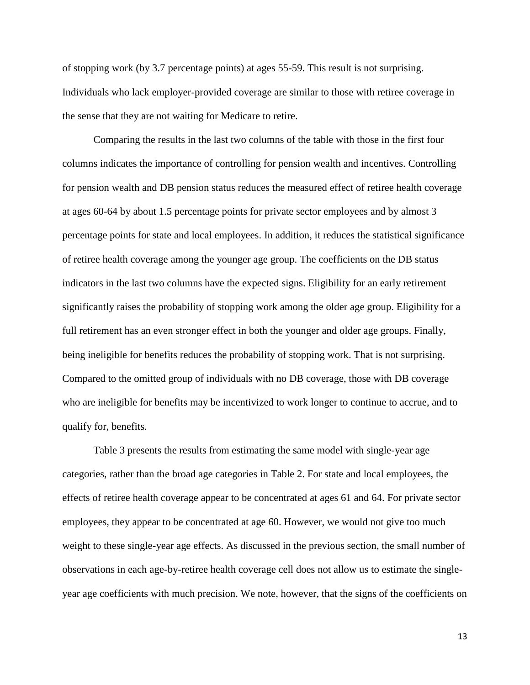of stopping work (by 3.7 percentage points) at ages 55-59. This result is not surprising. Individuals who lack employer-provided coverage are similar to those with retiree coverage in the sense that they are not waiting for Medicare to retire.

Comparing the results in the last two columns of the table with those in the first four columns indicates the importance of controlling for pension wealth and incentives. Controlling for pension wealth and DB pension status reduces the measured effect of retiree health coverage at ages 60-64 by about 1.5 percentage points for private sector employees and by almost 3 percentage points for state and local employees. In addition, it reduces the statistical significance of retiree health coverage among the younger age group. The coefficients on the DB status indicators in the last two columns have the expected signs. Eligibility for an early retirement significantly raises the probability of stopping work among the older age group. Eligibility for a full retirement has an even stronger effect in both the younger and older age groups. Finally, being ineligible for benefits reduces the probability of stopping work. That is not surprising. Compared to the omitted group of individuals with no DB coverage, those with DB coverage who are ineligible for benefits may be incentivized to work longer to continue to accrue, and to qualify for, benefits.

Table 3 presents the results from estimating the same model with single-year age categories, rather than the broad age categories in Table 2. For state and local employees, the effects of retiree health coverage appear to be concentrated at ages 61 and 64. For private sector employees, they appear to be concentrated at age 60. However, we would not give too much weight to these single-year age effects. As discussed in the previous section, the small number of observations in each age-by-retiree health coverage cell does not allow us to estimate the singleyear age coefficients with much precision. We note, however, that the signs of the coefficients on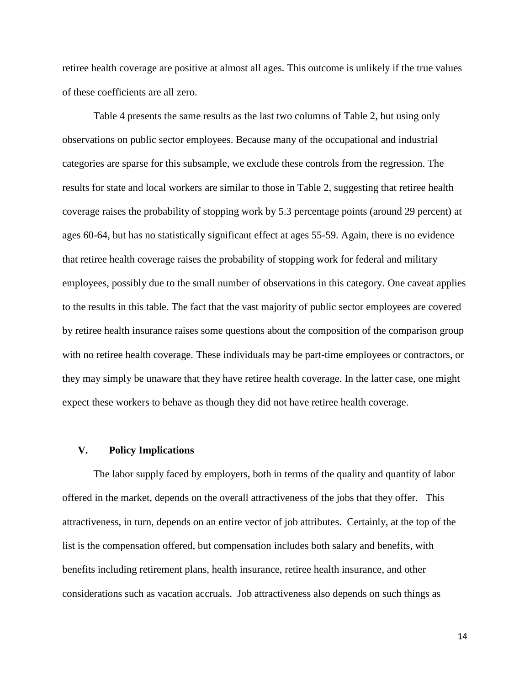retiree health coverage are positive at almost all ages. This outcome is unlikely if the true values of these coefficients are all zero.

Table 4 presents the same results as the last two columns of Table 2, but using only observations on public sector employees. Because many of the occupational and industrial categories are sparse for this subsample, we exclude these controls from the regression. The results for state and local workers are similar to those in Table 2, suggesting that retiree health coverage raises the probability of stopping work by 5.3 percentage points (around 29 percent) at ages 60-64, but has no statistically significant effect at ages 55-59. Again, there is no evidence that retiree health coverage raises the probability of stopping work for federal and military employees, possibly due to the small number of observations in this category. One caveat applies to the results in this table. The fact that the vast majority of public sector employees are covered by retiree health insurance raises some questions about the composition of the comparison group with no retiree health coverage. These individuals may be part-time employees or contractors, or they may simply be unaware that they have retiree health coverage. In the latter case, one might expect these workers to behave as though they did not have retiree health coverage.

### **V. Policy Implications**

The labor supply faced by employers, both in terms of the quality and quantity of labor offered in the market, depends on the overall attractiveness of the jobs that they offer. This attractiveness, in turn, depends on an entire vector of job attributes. Certainly, at the top of the list is the compensation offered, but compensation includes both salary and benefits, with benefits including retirement plans, health insurance, retiree health insurance, and other considerations such as vacation accruals. Job attractiveness also depends on such things as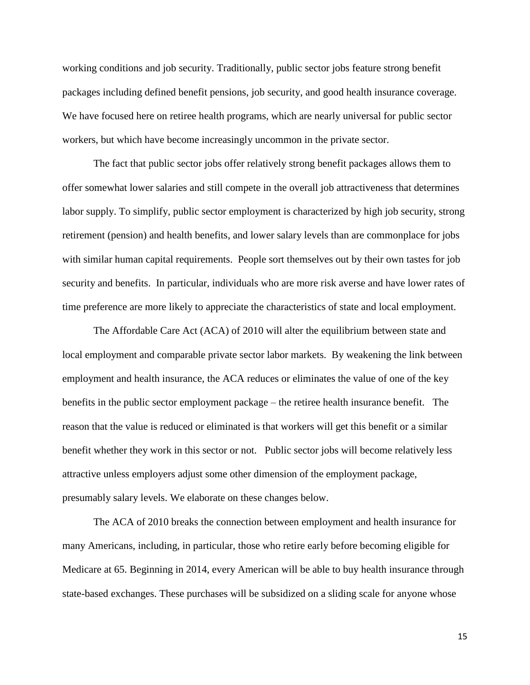working conditions and job security. Traditionally, public sector jobs feature strong benefit packages including defined benefit pensions, job security, and good health insurance coverage. We have focused here on retiree health programs, which are nearly universal for public sector workers, but which have become increasingly uncommon in the private sector.

The fact that public sector jobs offer relatively strong benefit packages allows them to offer somewhat lower salaries and still compete in the overall job attractiveness that determines labor supply. To simplify, public sector employment is characterized by high job security, strong retirement (pension) and health benefits, and lower salary levels than are commonplace for jobs with similar human capital requirements. People sort themselves out by their own tastes for job security and benefits. In particular, individuals who are more risk averse and have lower rates of time preference are more likely to appreciate the characteristics of state and local employment.

The Affordable Care Act (ACA) of 2010 will alter the equilibrium between state and local employment and comparable private sector labor markets. By weakening the link between employment and health insurance, the ACA reduces or eliminates the value of one of the key benefits in the public sector employment package – the retiree health insurance benefit. The reason that the value is reduced or eliminated is that workers will get this benefit or a similar benefit whether they work in this sector or not. Public sector jobs will become relatively less attractive unless employers adjust some other dimension of the employment package, presumably salary levels. We elaborate on these changes below.

The ACA of 2010 breaks the connection between employment and health insurance for many Americans, including, in particular, those who retire early before becoming eligible for Medicare at 65. Beginning in 2014, every American will be able to buy health insurance through state-based exchanges. These purchases will be subsidized on a sliding scale for anyone whose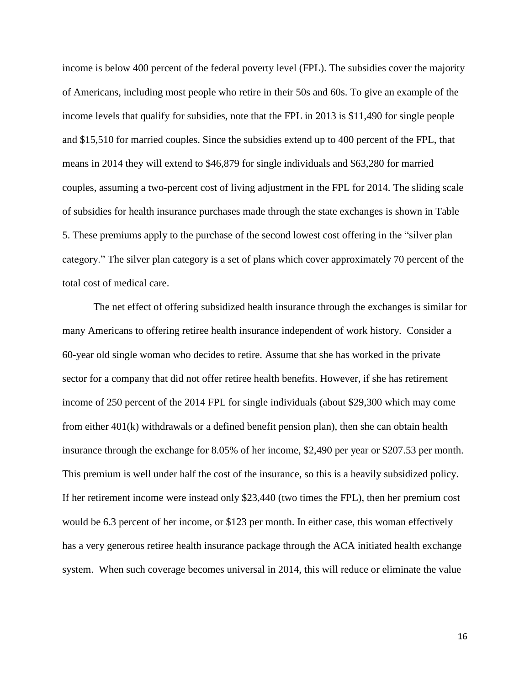income is below 400 percent of the federal poverty level (FPL). The subsidies cover the majority of Americans, including most people who retire in their 50s and 60s. To give an example of the income levels that qualify for subsidies, note that the FPL in 2013 is \$11,490 for single people and \$15,510 for married couples. Since the subsidies extend up to 400 percent of the FPL, that means in 2014 they will extend to \$46,879 for single individuals and \$63,280 for married couples, assuming a two-percent cost of living adjustment in the FPL for 2014. The sliding scale of subsidies for health insurance purchases made through the state exchanges is shown in Table 5. These premiums apply to the purchase of the second lowest cost offering in the "silver plan category." The silver plan category is a set of plans which cover approximately 70 percent of the total cost of medical care.

The net effect of offering subsidized health insurance through the exchanges is similar for many Americans to offering retiree health insurance independent of work history. Consider a 60-year old single woman who decides to retire. Assume that she has worked in the private sector for a company that did not offer retiree health benefits. However, if she has retirement income of 250 percent of the 2014 FPL for single individuals (about \$29,300 which may come from either 401(k) withdrawals or a defined benefit pension plan), then she can obtain health insurance through the exchange for 8.05% of her income, \$2,490 per year or \$207.53 per month. This premium is well under half the cost of the insurance, so this is a heavily subsidized policy. If her retirement income were instead only \$23,440 (two times the FPL), then her premium cost would be 6.3 percent of her income, or \$123 per month. In either case, this woman effectively has a very generous retiree health insurance package through the ACA initiated health exchange system. When such coverage becomes universal in 2014, this will reduce or eliminate the value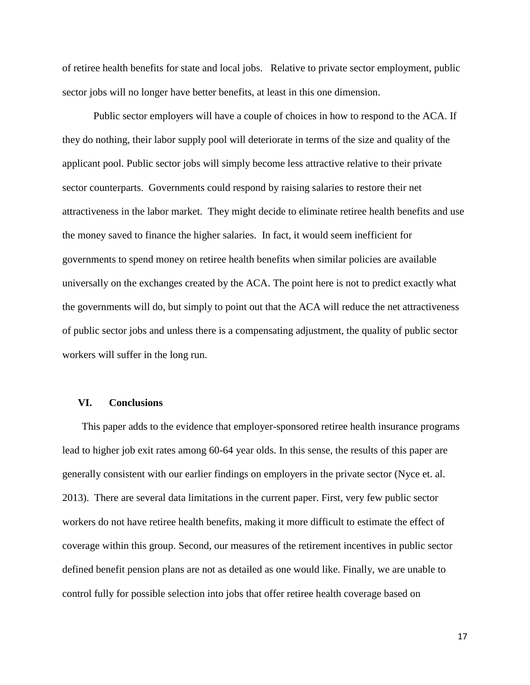of retiree health benefits for state and local jobs. Relative to private sector employment, public sector jobs will no longer have better benefits, at least in this one dimension.

Public sector employers will have a couple of choices in how to respond to the ACA. If they do nothing, their labor supply pool will deteriorate in terms of the size and quality of the applicant pool. Public sector jobs will simply become less attractive relative to their private sector counterparts. Governments could respond by raising salaries to restore their net attractiveness in the labor market. They might decide to eliminate retiree health benefits and use the money saved to finance the higher salaries. In fact, it would seem inefficient for governments to spend money on retiree health benefits when similar policies are available universally on the exchanges created by the ACA. The point here is not to predict exactly what the governments will do, but simply to point out that the ACA will reduce the net attractiveness of public sector jobs and unless there is a compensating adjustment, the quality of public sector workers will suffer in the long run.

#### **VI. Conclusions**

This paper adds to the evidence that employer-sponsored retiree health insurance programs lead to higher job exit rates among 60-64 year olds. In this sense, the results of this paper are generally consistent with our earlier findings on employers in the private sector (Nyce et. al. 2013). There are several data limitations in the current paper. First, very few public sector workers do not have retiree health benefits, making it more difficult to estimate the effect of coverage within this group. Second, our measures of the retirement incentives in public sector defined benefit pension plans are not as detailed as one would like. Finally, we are unable to control fully for possible selection into jobs that offer retiree health coverage based on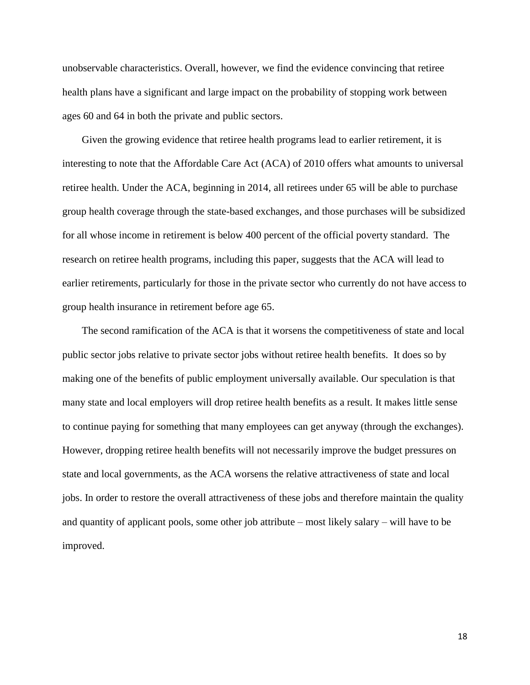unobservable characteristics. Overall, however, we find the evidence convincing that retiree health plans have a significant and large impact on the probability of stopping work between ages 60 and 64 in both the private and public sectors.

Given the growing evidence that retiree health programs lead to earlier retirement, it is interesting to note that the Affordable Care Act (ACA) of 2010 offers what amounts to universal retiree health. Under the ACA, beginning in 2014, all retirees under 65 will be able to purchase group health coverage through the state-based exchanges, and those purchases will be subsidized for all whose income in retirement is below 400 percent of the official poverty standard. The research on retiree health programs, including this paper, suggests that the ACA will lead to earlier retirements, particularly for those in the private sector who currently do not have access to group health insurance in retirement before age 65.

The second ramification of the ACA is that it worsens the competitiveness of state and local public sector jobs relative to private sector jobs without retiree health benefits. It does so by making one of the benefits of public employment universally available. Our speculation is that many state and local employers will drop retiree health benefits as a result. It makes little sense to continue paying for something that many employees can get anyway (through the exchanges). However, dropping retiree health benefits will not necessarily improve the budget pressures on state and local governments, as the ACA worsens the relative attractiveness of state and local jobs. In order to restore the overall attractiveness of these jobs and therefore maintain the quality and quantity of applicant pools, some other job attribute – most likely salary – will have to be improved.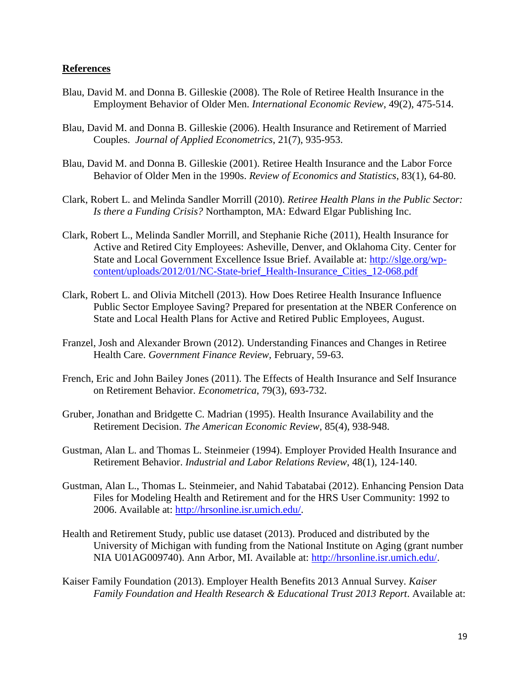# **References**

- Blau, David M. and Donna B. Gilleskie (2008). The Role of Retiree Health Insurance in the Employment Behavior of Older Men. *International Economic Review*, 49(2), 475-514.
- Blau, David M. and Donna B. Gilleskie (2006). Health Insurance and Retirement of Married Couples. *Journal of Applied Econometrics*, 21(7), 935-953.
- Blau, David M. and Donna B. Gilleskie (2001). Retiree Health Insurance and the Labor Force Behavior of Older Men in the 1990s. *Review of Economics and Statistics*, 83(1), 64-80.
- Clark, Robert L. and Melinda Sandler Morrill (2010). *Retiree Health Plans in the Public Sector: Is there a Funding Crisis?* Northampton, MA: Edward Elgar Publishing Inc.
- Clark, Robert L., Melinda Sandler Morrill, and Stephanie Riche (2011), Health Insurance for Active and Retired City Employees: Asheville, Denver, and Oklahoma City. Center for State and Local Government Excellence Issue Brief. Available at: [http://slge.org/wp](http://slge.org/wp-content/uploads/2012/01/NC-State-brief_Health-Insurance_Cities_12-068.pdf)[content/uploads/2012/01/NC-State-brief\\_Health-Insurance\\_Cities\\_12-068.pdf](http://slge.org/wp-content/uploads/2012/01/NC-State-brief_Health-Insurance_Cities_12-068.pdf)
- Clark, Robert L. and Olivia Mitchell (2013). How Does Retiree Health Insurance Influence Public Sector Employee Saving? Prepared for presentation at the NBER Conference on State and Local Health Plans for Active and Retired Public Employees, August.
- Franzel, Josh and Alexander Brown (2012). Understanding Finances and Changes in Retiree Health Care. *Government Finance Review,* February, 59-63.
- French, Eric and John Bailey Jones (2011). The Effects of Health Insurance and Self Insurance on Retirement Behavior. *Econometrica*, 79(3), 693-732.
- Gruber, Jonathan and Bridgette C. Madrian (1995). Health Insurance Availability and the Retirement Decision. *The American Economic Review*, 85(4), 938-948.
- Gustman, Alan L. and Thomas L. Steinmeier (1994). Employer Provided Health Insurance and Retirement Behavior. *Industrial and Labor Relations Review*, 48(1), 124-140.
- Gustman, Alan L., Thomas L. Steinmeier, and Nahid Tabatabai (2012). Enhancing Pension Data Files for Modeling Health and Retirement and for the HRS User Community: 1992 to 2006. Available at: [http://hrsonline.isr.umich.edu/.](http://hrsonline.isr.umich.edu/)
- Health and Retirement Study, public use dataset (2013). Produced and distributed by the University of Michigan with funding from the National Institute on Aging (grant number NIA U01AG009740). Ann Arbor, MI. Available at: [http://hrsonline.isr.umich.edu/.](http://hrsonline.isr.umich.edu/)
- Kaiser Family Foundation (2013). Employer Health Benefits 2013 Annual Survey. *Kaiser Family Foundation and Health Research & Educational Trust 2013 Report*. Available at: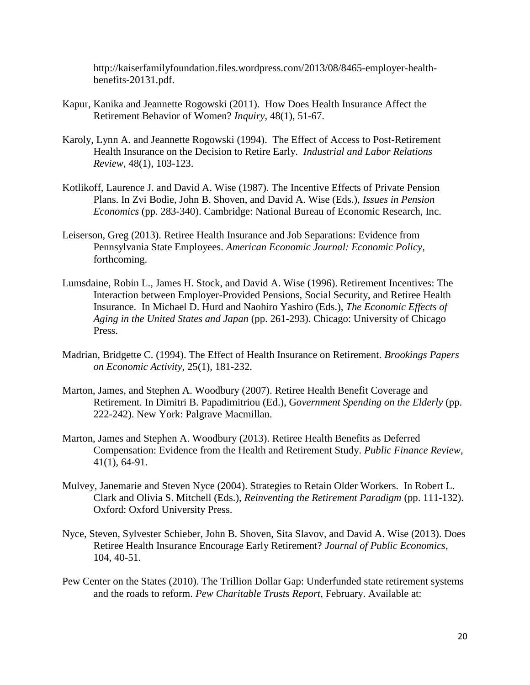http://kaiserfamilyfoundation.files.wordpress.com/2013/08/8465-employer-healthbenefits-20131.pdf.

- Kapur, Kanika and Jeannette Rogowski (2011). How Does Health Insurance Affect the Retirement Behavior of Women? *Inquiry*, 48(1), 51-67.
- Karoly, Lynn A. and Jeannette Rogowski (1994). The Effect of Access to Post-Retirement Health Insurance on the Decision to Retire Early. *Industrial and Labor Relations Review*, 48(1), 103-123.
- Kotlikoff, Laurence J. and David A. Wise (1987). The Incentive Effects of Private Pension Plans. In Zvi Bodie, John B. Shoven, and David A. Wise (Eds.), *Issues in Pension Economics* (pp. 283-340). Cambridge: National Bureau of Economic Research, Inc.
- Leiserson, Greg (2013). Retiree Health Insurance and Job Separations: Evidence from Pennsylvania State Employees. *American Economic Journal: Economic Policy*, forthcoming.
- Lumsdaine, Robin L., James H. Stock, and David A. Wise (1996). Retirement Incentives: The Interaction between Employer-Provided Pensions, Social Security, and Retiree Health Insurance. In Michael D. Hurd and Naohiro Yashiro (Eds.), *The Economic Effects of Aging in the United States and Japan* (pp. 261-293). Chicago: University of Chicago Press.
- Madrian, Bridgette C. (1994). The Effect of Health Insurance on Retirement. *Brookings Papers on Economic Activity*, 25(1), 181-232.
- Marton, James, and Stephen A. Woodbury (2007). Retiree Health Benefit Coverage and Retirement. In Dimitri B. Papadimitriou (Ed.), G*overnment Spending on the Elderly* (pp. 222-242). New York: Palgrave Macmillan.
- Marton, James and Stephen A. Woodbury (2013). Retiree Health Benefits as Deferred Compensation: Evidence from the Health and Retirement Study. *Public Finance Review*, 41(1), 64-91.
- Mulvey, Janemarie and Steven Nyce (2004). Strategies to Retain Older Workers. In Robert L. Clark and Olivia S. Mitchell (Eds.), *Reinventing the Retirement Paradigm* (pp. 111-132). Oxford: Oxford University Press.
- Nyce, Steven, Sylvester Schieber, John B. Shoven, Sita Slavov, and David A. Wise (2013). Does Retiree Health Insurance Encourage Early Retirement? *Journal of Public Economics*, 104, 40-51.
- Pew Center on the States (2010). The Trillion Dollar Gap: Underfunded state retirement systems and the roads to reform. *Pew Charitable Trusts Report*, February. Available at: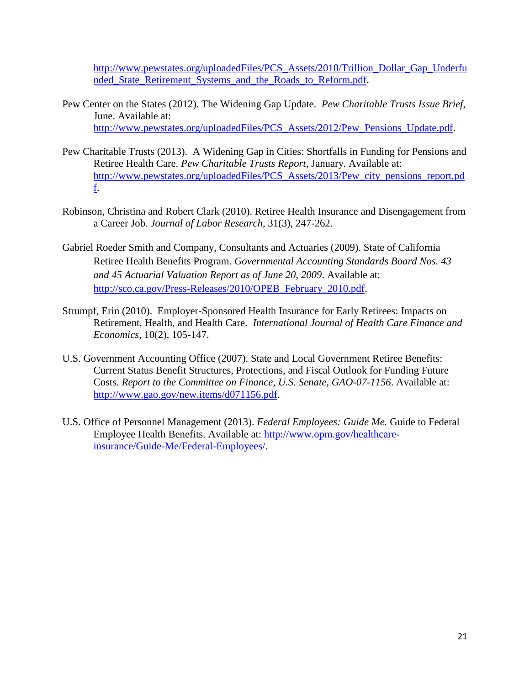http://www.pewstates.org/uploadedFiles/PCS Assets/2010/Trillion Dollar Gap Underfu nded State Retirement Systems and the Roads to Reform.pdf.

- Pew Center on the States (2012). The Widening Gap Update. *Pew Charitable Trusts Issue Brief*, June. Available at: [http://www.pewstates.org/uploadedFiles/PCS\\_Assets/2012/Pew\\_Pensions\\_Update.pdf.](http://www.pewstates.org/uploadedFiles/PCS_Assets/2012/Pew_Pensions_Update.pdf)
- Pew Charitable Trusts (2013). A Widening Gap in Cities: Shortfalls in Funding for Pensions and Retiree Health Care. *Pew Charitable Trusts Report*, January. Available at: [http://www.pewstates.org/uploadedFiles/PCS\\_Assets/2013/Pew\\_city\\_pensions\\_report.pd](http://www.pewstates.org/uploadedFiles/PCS_Assets/2013/Pew_city_pensions_report.pdf) [f.](http://www.pewstates.org/uploadedFiles/PCS_Assets/2013/Pew_city_pensions_report.pdf)
- Robinson, Christina and Robert Clark (2010). Retiree Health Insurance and Disengagement from a Career Job. *Journal of Labor Research*, 31(3), 247-262.
- Gabriel Roeder Smith and Company, Consultants and Actuaries (2009). State of California Retiree Health Benefits Program. *Governmental Accounting Standards Board Nos. 43 and 45 Actuarial Valuation Report as of June 20, 2009*. Available at: [http://sco.ca.gov/Press-Releases/2010/OPEB\\_February\\_2010.pdf.](http://sco.ca.gov/Press-Releases/2010/OPEB_February_2010.pdf)
- Strumpf, Erin (2010). Employer-Sponsored Health Insurance for Early Retirees: Impacts on Retirement, Health, and Health Care. *International Journal of Health Care Finance and Economics*, 10(2), 105-147.
- U.S. Government Accounting Office (2007). State and Local Government Retiree Benefits: Current Status Benefit Structures, Protections, and Fiscal Outlook for Funding Future Costs. *Report to the Committee on Finance, U.S. Senate, GAO-07-1156*. Available at: [http://www.gao.gov/new.items/d071156.pdf.](http://www.gao.gov/new.items/d071156.pdf)
- U.S. Office of Personnel Management (2013). *Federal Employees: Guide Me.* Guide to Federal Employee Health Benefits. Available at: [http://www.opm.gov/healthcare](http://www.opm.gov/healthcare-insurance/Guide-Me/Federal-Employees/)[insurance/Guide-Me/Federal-Employees/.](http://www.opm.gov/healthcare-insurance/Guide-Me/Federal-Employees/)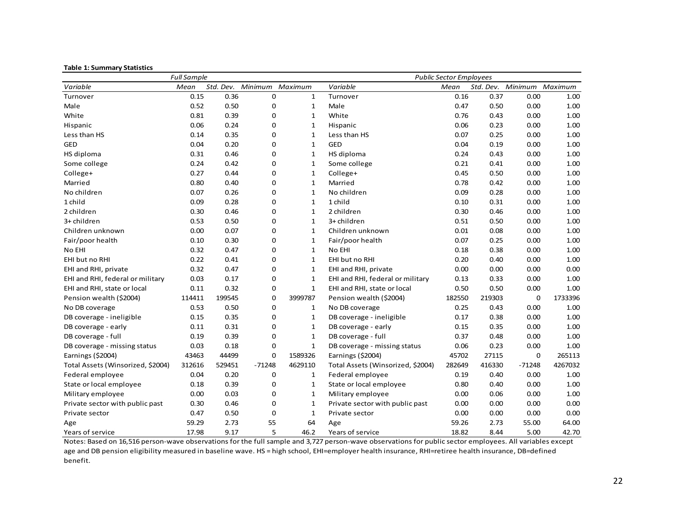|  |  | <b>Table 1: Summary Statistics</b> |  |
|--|--|------------------------------------|--|
|--|--|------------------------------------|--|

| <b>Full Sample</b>                | <b>Public Sector Employees</b> |           |                 |              |                                   |        |           |                 |          |
|-----------------------------------|--------------------------------|-----------|-----------------|--------------|-----------------------------------|--------|-----------|-----------------|----------|
| Variable                          | Mean                           | Std. Dev. | Minimum Maximum |              | Variable                          | Mean   | Std. Dev. | Minimum Maximum |          |
| Turnover                          | 0.15                           | 0.36      | 0               | $\mathbf{1}$ | Turnover                          | 0.16   | 0.37      | 0.00            | 1.00     |
| Male                              | 0.52                           | 0.50      | 0               | $\mathbf{1}$ | Male                              | 0.47   | 0.50      | 0.00            | 1.00     |
| White                             | 0.81                           | 0.39      | 0               | $\mathbf{1}$ | White                             | 0.76   | 0.43      | 0.00            | 1.00     |
| Hispanic                          | 0.06                           | 0.24      | 0               | $\mathbf{1}$ | Hispanic                          | 0.06   | 0.23      | 0.00            | 1.00     |
| Less than HS                      | 0.14                           | 0.35      | 0               | $\mathbf{1}$ | Less than HS                      | 0.07   | 0.25      | 0.00            | 1.00     |
| GED                               | 0.04                           | 0.20      | 0               | $\mathbf{1}$ | <b>GED</b>                        | 0.04   | 0.19      | 0.00            | 1.00     |
| HS diploma                        | 0.31                           | 0.46      | $\mathbf 0$     | $\mathbf{1}$ | HS diploma                        | 0.24   | 0.43      | 0.00            | 1.00     |
| Some college                      | 0.24                           | 0.42      | $\mathbf 0$     | $\mathbf{1}$ | Some college                      | 0.21   | 0.41      | 0.00            | 1.00     |
| College+                          | 0.27                           | 0.44      | 0               | $\mathbf{1}$ | College+                          | 0.45   | 0.50      | 0.00            | 1.00     |
| Married                           | 0.80                           | 0.40      | 0               | $\mathbf{1}$ | Married                           | 0.78   | 0.42      | 0.00            | 1.00     |
| No children                       | 0.07                           | 0.26      | 0               | $\mathbf{1}$ | No children                       | 0.09   | 0.28      | 0.00            | 1.00     |
| 1 child                           | 0.09                           | 0.28      | $\mathbf 0$     | $\mathbf{1}$ | 1 child                           | 0.10   | 0.31      | 0.00            | 1.00     |
| 2 children                        | 0.30                           | 0.46      | 0               | $\mathbf{1}$ | 2 children                        | 0.30   | 0.46      | 0.00            | 1.00     |
| 3+ children                       | 0.53                           | 0.50      | 0               | $\mathbf{1}$ | 3+ children                       | 0.51   | 0.50      | 0.00            | 1.00     |
| Children unknown                  | 0.00                           | 0.07      | 0               | $\mathbf{1}$ | Children unknown                  | 0.01   | 0.08      | 0.00            | 1.00     |
| Fair/poor health                  | 0.10                           | 0.30      | 0               | $\mathbf{1}$ | Fair/poor health                  | 0.07   | 0.25      | 0.00            | 1.00     |
| No EHI                            | 0.32                           | 0.47      | 0               | $\mathbf{1}$ | No EHI                            | 0.18   | 0.38      | 0.00            | 1.00     |
| EHI but no RHI                    | 0.22                           | 0.41      | 0               | $\mathbf{1}$ | EHI but no RHI                    | 0.20   | 0.40      | 0.00            | 1.00     |
| EHI and RHI, private              | 0.32                           | 0.47      | 0               | $\mathbf{1}$ | EHI and RHI, private              | 0.00   | 0.00      | 0.00            | 0.00     |
| EHI and RHI, federal or military  | 0.03                           | 0.17      | 0               | $\mathbf{1}$ | EHI and RHI, federal or military  | 0.13   | 0.33      | 0.00            | $1.00\,$ |
| EHI and RHI, state or local       | 0.11                           | 0.32      | 0               | $\mathbf{1}$ | EHI and RHI, state or local       | 0.50   | 0.50      | 0.00            | 1.00     |
| Pension wealth (\$2004)           | 114411                         | 199545    | 0               | 3999787      | Pension wealth (\$2004)           | 182550 | 219303    | 0               | 1733396  |
| No DB coverage                    | 0.53                           | 0.50      | 0               | $\mathbf{1}$ | No DB coverage                    | 0.25   | 0.43      | 0.00            | 1.00     |
| DB coverage - ineligible          | 0.15                           | 0.35      | $\mathbf 0$     | $\mathbf{1}$ | DB coverage - ineligible          | 0.17   | 0.38      | 0.00            | 1.00     |
| DB coverage - early               | 0.11                           | 0.31      | 0               | $\mathbf{1}$ | DB coverage - early               | 0.15   | 0.35      | 0.00            | 1.00     |
| DB coverage - full                | 0.19                           | 0.39      | 0               | $\mathbf{1}$ | DB coverage - full                | 0.37   | 0.48      | 0.00            | 1.00     |
| DB coverage - missing status      | 0.03                           | 0.18      | 0               | $\mathbf{1}$ | DB coverage - missing status      | 0.06   | 0.23      | 0.00            | 1.00     |
| Earnings (\$2004)                 | 43463                          | 44499     | $\mathbf 0$     | 1589326      | Earnings (\$2004)                 | 45702  | 27115     | $\mathbf 0$     | 265113   |
| Total Assets (Winsorized, \$2004) | 312616                         | 529451    | $-71248$        | 4629110      | Total Assets (Winsorized, \$2004) | 282649 | 416330    | $-71248$        | 4267032  |
| Federal employee                  | 0.04                           | 0.20      | 0               | $\mathbf{1}$ | Federal employee                  | 0.19   | 0.40      | 0.00            | 1.00     |
| State or local employee           | 0.18                           | 0.39      | 0               | $\mathbf{1}$ | State or local employee           | 0.80   | 0.40      | 0.00            | 1.00     |
| Military employee                 | 0.00                           | 0.03      | $\mathbf 0$     | $\mathbf{1}$ | Military employee                 | 0.00   | 0.06      | 0.00            | 1.00     |
| Private sector with public past   | 0.30                           | 0.46      | 0               | $\mathbf{1}$ | Private sector with public past   | 0.00   | 0.00      | 0.00            | 0.00     |
| Private sector                    | 0.47                           | 0.50      | 0               | 1            | Private sector                    | 0.00   | 0.00      | 0.00            | 0.00     |
| Age                               | 59.29                          | 2.73      | 55              | 64           | Age                               | 59.26  | 2.73      | 55.00           | 64.00    |
| Years of service                  | 17.98                          | 9.17      | 5               | 46.2         | Years of service                  | 18.82  | 8.44      | 5.00            | 42.70    |

Notes: Based on 16,516 person-wave observations for the full sample and 3,727 person-wave observations for public sector employees. All variables except age and DB pension eligibility measured in baseline wave. HS = high school, EHI=employer health insurance, RHI=retiree health insurance, DB=defined benefit.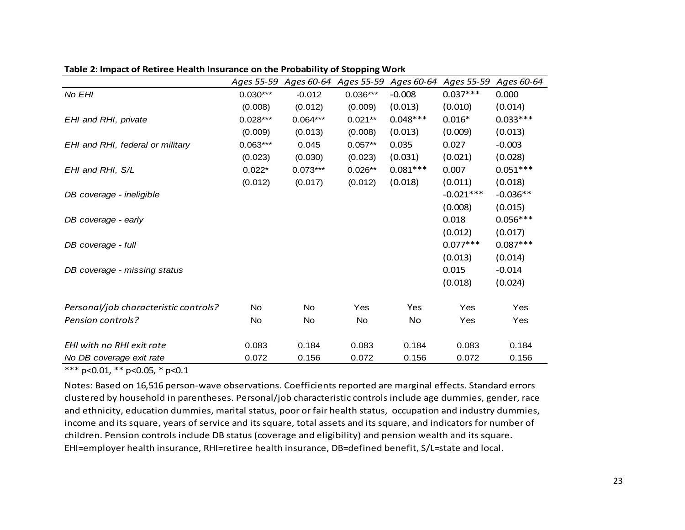|                                       | Ages 55-59 | Ages 60-64 |            | Ages 55-59 Ages 60-64 | Ages 55-59  | Ages 60-64 |
|---------------------------------------|------------|------------|------------|-----------------------|-------------|------------|
| No EHI                                | $0.030***$ | $-0.012$   | $0.036***$ | $-0.008$              | $0.037***$  | 0.000      |
|                                       | (0.008)    | (0.012)    | (0.009)    | (0.013)               | (0.010)     | (0.014)    |
| EHI and RHI, private                  | $0.028***$ | $0.064***$ | $0.021**$  | $0.048***$            | $0.016*$    | $0.033***$ |
|                                       | (0.009)    | (0.013)    | (0.008)    | (0.013)               | (0.009)     | (0.013)    |
| EHI and RHI, federal or military      | $0.063***$ | 0.045      | $0.057**$  | 0.035                 | 0.027       | $-0.003$   |
|                                       | (0.023)    | (0.030)    | (0.023)    | (0.031)               | (0.021)     | (0.028)    |
| EHI and RHI, S/L                      | $0.022*$   | $0.073***$ | $0.026**$  | $0.081***$            | 0.007       | $0.051***$ |
|                                       | (0.012)    | (0.017)    | (0.012)    | (0.018)               | (0.011)     | (0.018)    |
| DB coverage - ineligible              |            |            |            |                       | $-0.021***$ | $-0.036**$ |
|                                       |            |            |            |                       | (0.008)     | (0.015)    |
| DB coverage - early                   |            |            |            |                       | 0.018       | $0.056***$ |
|                                       |            |            |            |                       | (0.012)     | (0.017)    |
| DB coverage - full                    |            |            |            |                       | $0.077***$  | $0.087***$ |
|                                       |            |            |            |                       | (0.013)     | (0.014)    |
| DB coverage - missing status          |            |            |            |                       | 0.015       | $-0.014$   |
|                                       |            |            |            |                       | (0.018)     | (0.024)    |
| Personal/job characteristic controls? | No.        | No.        | Yes        | Yes                   | Yes         | Yes        |
| Pension controls?                     | <b>No</b>  | No.        | No         | No                    | Yes         | Yes        |
|                                       |            |            |            |                       |             |            |
| EHI with no RHI exit rate             | 0.083      | 0.184      | 0.083      | 0.184                 | 0.083       | 0.184      |
| No DB coverage exit rate              | 0.072      | 0.156      | 0.072      | 0.156                 | 0.072       | 0.156      |

**Table 2: Impact of Retiree Health Insurance on the Probability of Stopping Work**

\*\*\* p<0.01, \*\* p<0.05, \* p<0.1

Notes: Based on 16,516 person-wave observations. Coefficients reported are marginal effects. Standard errors clustered by household in parentheses. Personal/job characteristic controls include age dummies, gender, race and ethnicity, education dummies, marital status, poor or fair health status, occupation and industry dummies, income and its square, years of service and its square, total assets and its square, and indicators for number of children. Pension controls include DB status (coverage and eligibility) and pension wealth and its square. EHI=employer health insurance, RHI=retiree health insurance, DB=defined benefit, S/L=state and local.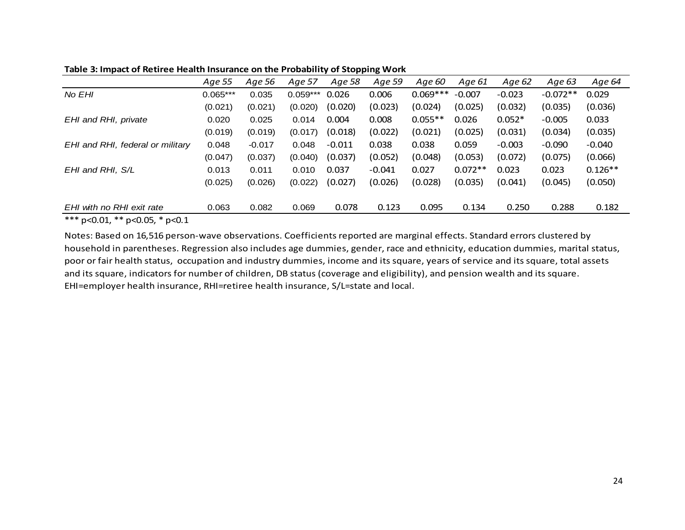| Age 55     | Age 56   | Age 57     | Age 58   | Age 59   | Aae 60     | Aae 61    | Age 62   | Age 63     | Age 64    |
|------------|----------|------------|----------|----------|------------|-----------|----------|------------|-----------|
| $0.065***$ | 0.035    | $0.059***$ | 0.026    | 0.006    | $0.069***$ | $-0.007$  | $-0.023$ | $-0.072**$ | 0.029     |
| (0.021)    | (0.021)  | (0.020)    | (0.020)  | (0.023)  | (0.024)    | (0.025)   | (0.032)  | (0.035)    | (0.036)   |
| 0.020      | 0.025    | 0.014      | 0.004    | 0.008    | $0.055**$  | 0.026     | $0.052*$ | $-0.005$   | 0.033     |
| (0.019)    | (0.019)  | (0.017)    | (0.018)  | (0.022)  | (0.021)    | (0.025)   | (0.031)  | (0.034)    | (0.035)   |
| 0.048      | $-0.017$ | 0.048      | $-0.011$ | 0.038    | 0.038      | 0.059     | $-0.003$ | $-0.090$   | $-0.040$  |
| (0.047)    | (0.037)  | (0.040)    | (0.037)  | (0.052)  | (0.048)    | (0.053)   | (0.072)  | (0.075)    | (0.066)   |
| 0.013      | 0.011    | 0.010      | 0.037    | $-0.041$ | 0.027      | $0.072**$ | 0.023    | 0.023      | $0.126**$ |
| (0.025)    | (0.026)  | (0.022)    | (0.027)  | (0.026)  | (0.028)    | (0.035)   | (0.041)  | (0.045)    | (0.050)   |
|            |          |            |          |          |            |           |          |            |           |
| 0.063      | 0.082    | 0.069      | 0.078    |          | 0.095      | 0.134     |          | 0.288      | 0.182     |
|            |          |            |          |          | 0.123      |           |          | 0.250      |           |

**Table 3: Impact of Retiree Health Insurance on the Probability of Stopping Work**

\*\*\* p<0.01, \*\* p<0.05, \* p<0.1

Notes: Based on 16,516 person-wave observations. Coefficients reported are marginal effects. Standard errors clustered by household in parentheses. Regression also includes age dummies, gender, race and ethnicity, education dummies, marital status, poor or fair health status, occupation and industry dummies, income and its square, years of service and its square, total assets and its square, indicators for number of children, DB status (coverage and eligibility), and pension wealth and its square. EHI=employer health insurance, RHI=retiree health insurance, S/L=state and local.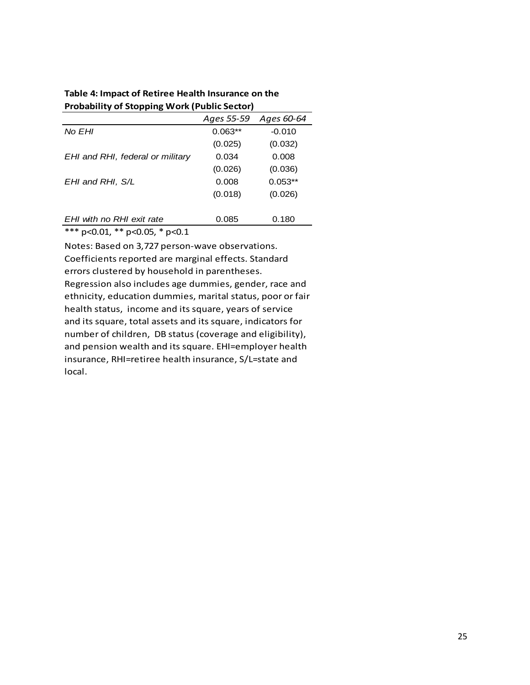**Table 4: Impact of Retiree Health Insurance on the Probability of Stopping Work (Public Sector)**

|                                  | Ages 55-59 | Ages 60-64 |
|----------------------------------|------------|------------|
| No EHI                           | $0.063**$  | $-0.010$   |
|                                  | (0.025)    | (0.032)    |
| EHI and RHI, federal or military | 0.034      | 0.008      |
|                                  | (0.026)    | (0.036)    |
| EHI and RHI, S/L                 | 0.008      | $0.053**$  |
|                                  | (0.018)    | (0.026)    |
|                                  |            |            |
| EHI with no RHI exit rate        | 0.085      | 0.180      |

\*\*\* p<0.01, \*\* p<0.05, \* p<0.1

Notes: Based on 3,727 person-wave observations. Coefficients reported are marginal effects. Standard errors clustered by household in parentheses. Regression also includes age dummies, gender, race and ethnicity, education dummies, marital status, poor or fair health status, income and its square, years of service and its square, total assets and its square, indicators for number of children, DB status (coverage and eligibility), and pension wealth and its square. EHI=employer health insurance, RHI=retiree health insurance, S/L=state and local.